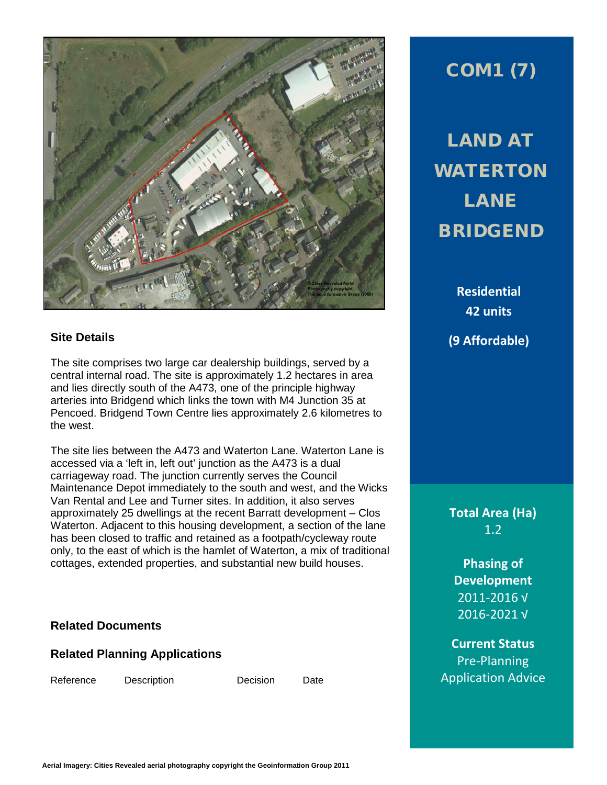

### **Site Details**

The site comprises two large car dealership buildings, served by a central internal road. The site is approximately 1.2 hectares in area and lies directly south of the A473, one of the principle highway arteries into Bridgend which links the town with M4 Junction 35 at Pencoed. Bridgend Town Centre lies approximately 2.6 kilometres to the west.

The site lies between the A473 and Waterton Lane. Waterton Lane is accessed via a 'left in, left out' junction as the A473 is a dual carriageway road. The junction currently serves the Council Maintenance Depot immediately to the south and west, and the Wicks Van Rental and Lee and Turner sites. In addition, it also serves approximately 25 dwellings at the recent Barratt development – Clos Waterton. Adjacent to this housing development, a section of the lane has been closed to traffic and retained as a footpath/cycleway route only, to the east of which is the hamlet of Waterton, a mix of traditional cottages, extended properties, and substantial new build houses.

### **Related Documents**

### **Related Planning Applications**

Reference Description Decision Date

# COM1 (7)

LAND AT WATERTON LANE BRIDGEND

> **Residential 42 units (9 Affordable)**

**Total Area (Ha)** 1.2

**Phasing of Development** 2011-2016 √ 2016-2021 √

**Current Status** Pre-Planning Application Advice